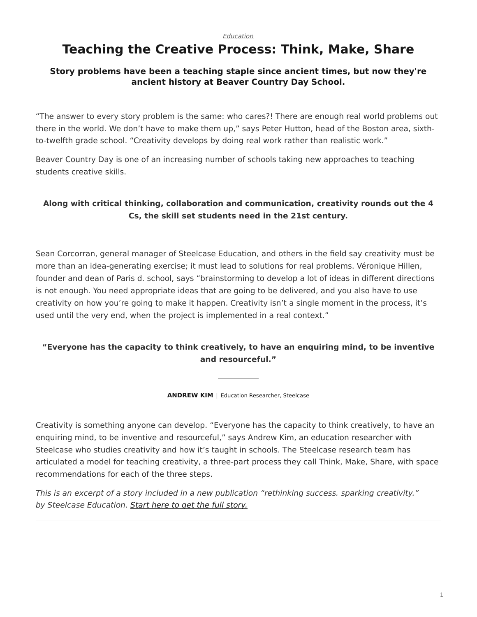#### *[Education](https://www.steelcase.com/research/topics/education/)*

# <span id="page-0-0"></span>**Teaching the Creative Process: Think, Make, Share**

#### **Story problems have been a teaching staple since ancient times, but now they're ancient history at Beaver Country Day School.**

"The answer to every story problem is the same: who cares?! There are enough real world problems out there in the world. We don't have to make them up," says Peter Hutton, head of the Boston area, sixthto-twelfth grade school. "Creativity develops by doing real work rather than realistic work."

Beaver Country Day is one of an increasing number of schools taking new approaches to teaching students creative skills.

### **Along with critical thinking, collaboration and communication, creativity rounds out the 4 Cs, the skill set students need in the 21st century.**

Sean Corcorran, general manager of Steelcase Education, and others in the field say creativity must be more than an idea-generating exercise; it must lead to solutions for real problems. Véronique Hillen, founder and dean of Paris d. school, says "brainstorming to develop a lot of ideas in different directions is not enough. You need appropriate ideas that are going to be delivered, and you also have to use creativity on how you're going to make it happen. Creativity isn't a single moment in the process, it's used until the very end, when the project is implemented in a real context."

### **"Everyone has the capacity to think creatively, to have an enquiring mind, to be inventive and resourceful."**

**ANDREW KIM** | Education Researcher, Steelcase

Creativity is something anyone can develop. "Everyone has the capacity to think creatively, to have an enquiring mind, to be inventive and resourceful," says Andrew Kim, an education researcher with Steelcase who studies creativity and how it's taught in schools. The Steelcase research team has articulated a model for teaching creativity, a three-part process they call Think, Make, Share, with space recommendations for each of the three steps.

*This is an excerpt of a story included in a new publication "rethinking success. sparking creativity." by Steelcase Education. [Start here to get the full story.](http://info.steelcase.com/steelcase-education-special-edition-download?utm_source=Steelcase.com&utm_medium=BlogPost&utm_campaign=2016-NeoCon-EDU)*